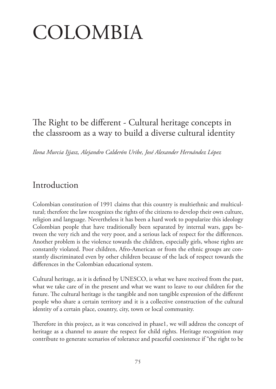# COLOMBIA

# The Right to be different - Cultural heritage concepts in the classroom as a way to build a diverse cultural identity

*Ilona Murcia Ijjasz, Alejandro Calderón Uribe, José Alexander Hernández López*

# Introduction

Colombian constitution of 1991 claims that this country is multiethnic and multicultural; therefore the law recognizes the rights of the citizens to develop their own culture, religion and language. Nevertheless it has been a hard work to popularize this ideology Colombian people that have traditionally been separated by internal wars, gaps between the very rich and the very poor, and a serious lack of respect for the differences. Another problem is the violence towards the children, especially girls, whose rights are constantly violated. Poor children, Afro-American or from the ethnic groups are constantly discriminated even by other children because of the lack of respect towards the differences in the Colombian educational system.

Cultural heritage, as it is defined by UNESCO, is what we have received from the past, what we take care of in the present and what we want to leave to our children for the future. The cultural heritage is the tangible and non tangible expression of the different people who share a certain territory and it is a collective construction of the cultural identity of a certain place, country, city, town or local community.

Therefore in this project, as it was conceived in phase1, we will address the concept of heritage as a channel to assure the respect for child rights. Heritage recognition may contribute to generate scenarios of tolerance and peaceful coexistence if "the right to be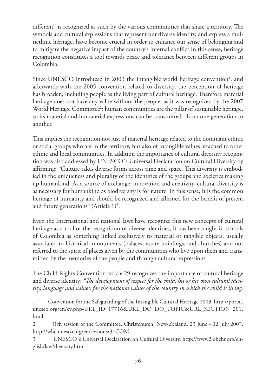different" is recognized as such by the various communities that share a territory. The symbols and cultural expressions that represent our diverse identity, and express a multiethnic heritage, have become crucial in order to enhance our sense of belonging and to mitigate the negative impact of the country's internal conflict In this sense, heritage recognition constitutes a tool towards peace and tolerance between different groups in Colombia.

Since UNESCO introduced in 2003 the intangible world heritage convention<sup>1</sup>; and afterwards with the 2005 convention related to diversity, the perception of heritage has broaden, including people as the living part of cultural heritage. Therefore material heritage does not have any value without the people, as it was recognized by the 2007 World Heritage Committee<sup>2</sup>; human communities are the pillar of sustainable heritage, so its material and immaterial expressions can be transmitted from one generation to another.

This implies the recognition not just of material heritage related to the dominant ethnic or social groups who are in the territory, but also of intangible values attached to other ethnic and local communities. In addition the importance of cultural diversity recognition was also addressed by UNESCO´s Universal Declaration on Cultural Diversity by affirming: "Culture takes diverse forms across time and space. This diversity is embodied in the uniqueness and plurality of the identities of the groups and societies making up humankind. As a source of exchange, innovation and creativity, cultural diversity is as necessary for humankind as biodiversity is for nature: In this sense, it is the common heritage of humanity and should be recognized and affirmed for the benefit of present and future generations" (Article  $1)^3$ .

Even the International and national laws have recognize this new concepts of cultural heritage as a tool of the recognition of diverse identities, it has been taught in schools of Colombia as something linked exclusively to material or tangible objects, usually associated to historical monuments (palaces, estate buildings, and churches) and not referred to the spirit of places given by the communities who live upon them and transmitted by the memories of the people and through cultural expressions

The Child Rights Convention article 29 recognizes the importance of cultural heritage and diverse identity: *"The development of respect for the child, his or her own cultural identity, language and values, for the national values of the country in which the child is living,* 

<sup>1</sup> Convention for the Safeguarding of the Intangible Cultural Heritage 2003. http://portal. unesco.org/en/ev.php-URL\_ID=17716&URL\_DO=DO\_TOPIC&URL\_SECTION=201. html

<sup>2 31</sup>th session of the Committee. Christchurch, New-Zealand. 23 June - 02 July 2007. http://whc.unesco.org/en/sessions/31COM

<sup>3</sup> UNESCO´s Universal Declaration on Cultural Diversity. http://www2.ohchr.org/english/law/diversity.htm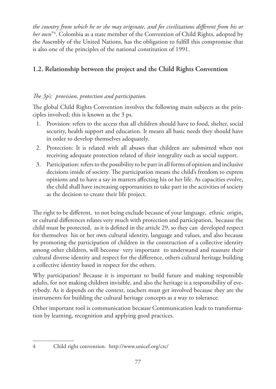*the country from which he or she may originate, and for civilizations different from his or her own*"4 . Colombia as a state member of the Convention of Child Rights, adopted by the Assembly of the United Nations, has the obligation to fulfill this compromise that is also one of the principles of the national constitution of 1991.

#### **1.2. Relationship between the project and the Child Rights Convention**

#### *The 3p's: provision, protection and participation.*

The global Child Rights Convention involves the following main subjects as the principles involved; this is known as the 3 ps.

- 1. Provision: refers to the access that all children should have to food, shelter, social security, health support and education. It means all basic needs they should have in order to develop themselves adequately.
- 2. Protection: It is related with all abuses that children are submitted when not receiving adequate protection related of their integrality such as social support.
- 3. Participation: refers to the possibility to be part in all forms of opinion and inclusive decisions inside of society. The participation means the child's freedom to express opinions and to have a say in matters affecting his or her life. As capacities evolve, the child shall have increasing opportunities to take part in the activities of society as the decision to create their life project.

The right to be different, to not being exclude because of your language, ethnic origin, or cultural differences relates very much with protection and participation, because the child must be protected, as it is defined in the article 29, so they can developed respect for themselves his or her own cultural identity, language and values, and also because by promoting the participation of children in the construction of a collective identity among other children, will become very important to understand and reassure their cultural diverse identity and respect for the difference, others cultural heritage building a collective identity based in respect for the others.

Why participation? Because it is important to build future and making responsible adults, for not making children invisible, and also the heritage is a responsibility of everybody. As it depends on the context, teachers must get involved because they are the instruments for building the cultural heritage concepts as a way to tolerance.

Other important tool is communication because Communication leads to transformation by learning, recognition and applying good practices.

<sup>4</sup> Child right convention. http://www.unicef.org/crc/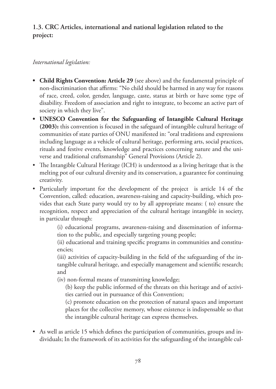#### **1.3. CRC Articles, international and national legislation related to the project:**

#### *International legislation:*

- **Child Rights Convention: Article 29** (see above) and the fundamental principle of non-discrimination that affirms: "No child should be harmed in any way for reasons of race, creed, color, gender, language, caste, status at birth or have some type of disability. Freedom of association and right to integrate, to become an active part of society in which they live".
- **t UNESCO Convention for the Safeguarding of Intangible Cultural Heritage (2003):** this convention is focused in the safeguard of intangible cultural heritage of communities of state parties of ONU manifested in: "oral traditions and expressions including language as a vehicle of cultural heritage, performing arts, social practices, rituals and festive events, knowledge and practices concerning nature and the universe and traditional craftsmanship" General Provisions (Article 2).
- The Intangible Cultural Heritage (ICH) is understood as a living heritage that is the melting pot of our cultural diversity and its conservation, a guarantee for continuing creativity.
- Particularly important for the development of the project is article 14 of the Convention, called: education, awareness-raising and capacity-building, which provides that each State party would try to by all appropriate means: ( to) ensure the recognition, respect and appreciation of the cultural heritage intangible in society, in particular through:

(i) educational programs, awareness-raising and dissemination of information to the public, and especially targeting young people;

(ii) educational and training specific programs in communities and constituencies;

(iii) activities of capacity-building in the field of the safeguarding of the intangible cultural heritage, and especially management and scientific research; and

(iv) non-formal means of transmitting knowledge;

(b) keep the public informed of the threats on this heritage and of activities carried out in pursuance of this Convention;

(c) promote education on the protection of natural spaces and important places for the collective memory, whose existence is indispensable so that the intangible cultural heritage can express themselves.

• As well as article 15 which defines the participation of communities, groups and individuals; In the framework of its activities for the safeguarding of the intangible cul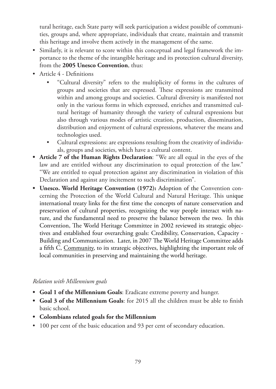tural heritage, each State party will seek participation a widest possible of communities, groups and, where appropriate, individuals that create, maintain and transmit this heritage and involve them actively in the management of the same.

- Similarly, it is relevant to score within this conceptual and legal framework the importance to the theme of the intangible heritage and its protection cultural diversity, from the **2005 Unesco Convention**, thus:
- $\bullet$  Article 4 Definitions
	- t "Cultural diversity" refers to the multiplicity of forms in the cultures of groups and societies that are expressed. These expressions are transmitted within and among groups and societies. Cultural diversity is manifested not only in the various forms in which expressed, enriches and transmitted cultural heritage of humanity through the variety of cultural expressions but also through various modes of artistic creation, production, dissemination, distribution and enjoyment of cultural expressions, whatever the means and technologies used.
	- Cultural expressions: are expressions resulting from the creativity of individuals, groups and societies, which have a cultural content.
- **t Article 7 of the Human Rights Declaration**: "We are all equal in the eyes of the law and are entitled without any discrimination to equal protection of the law." "We are entitled to equal protection against any discrimination in violation of this Declaration and against any incitement to such discrimination".
- Unesco. World Heritage Convention (1972): Adoption of the Convention concerning the Protection of the World Cultural and Natural Heritage. This unique international treaty links for the first time the concepts of nature conservation and preservation of cultural properties, recognizing the way people interact with nature, and the fundamental need to preserve the balance between the two. In this Convention, The World Heritage Committee in 2002 reviewed its strategic objectives and established four overarching goals: Credibility, Conservation, Capacity - Building and Communication. Later, in 2007 The World Heritage Committee adds a fifth C, Community, to its strategic objectives, highlighting the important role of local communities in preserving and maintaining the world heritage.

#### *Relation with Millennium goals*

- **t Goal 1 of the Millennium Goals**: Eradicate extreme poverty and hunger.
- **t Goal 3 of the Millennium Goals**: for 2015 all the children must be able to finish basic school.
- **t Colombians related goals for the Millennium**
- 100 per cent of the basic education and 93 per cent of secondary education.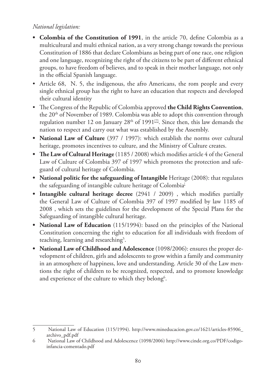#### *National legislation:*

- **t Colombia of the Constitution of 1991**, in the article 70, define Colombia as a multicultural and multi ethnical nation, as a very strong change towards the previous Constitution of 1886 that declare Colombians as being part of one race, one religion and one language, recognizing the right of the citizens to be part of different ethnical groups, to have freedom of believes, and to speak in their mother language, not only in the official Spanish language.
- Article 68, N. 5, the indigenous, the afro Americans, the rom people and every single ethnical group has the right to have an education that respects and developed their cultural identity
- t The Congress of the Republic of Colombia approved **the Child Rights Convention**, the 20<sup>th</sup> of November of 1989. Colombia was able to adopt this convention through regulation number 12 on January 28<sup>th</sup> of 1991<sup>[2]</sup>. Since then, this law demands the nation to respect and carry out what was established by the Assembly.
- **t National Law of Culture** (397 / 1997): which establish the norms over cultural heritage, promotes incentives to culture, and the Ministry of Culture creates.
- **t The Law of Cultural Heritage** (1185 / 2008) which modifies article 4 of the General Law of Culture of Colombia 397 of 1997 which promotes the protection and safeguard of cultural heritage of Colombia.
- **National politic for the safeguarding of Intangible** Heritage (2008): that regulates the safeguarding of intangible culture heritage of Colombia<sup>[1</sup>]
- **t Intangible cultural heritage decree** (2941 / 2009) , which modifies partially the General Law of Culture of Colombia 397 of 1997 modified by law 1185 of 2008 , which sets the guidelines for the development of the Special Plans for the Safeguarding of intangible cultural heritage.
- **National Law of Education** (115/1994): based on the principles of the National Constitution concerning the right to education for all individuals with freedom of teaching, learning and researching<sup>5</sup>.
- **t National Law of Childhood and Adolescence** (1098/2006): ensures the proper development of children, girls and adolescents to grow within a family and community in an atmosphere of happiness, love and understanding. Article 30 of the Law mentions the right of children to be recognized, respected, and to promote knowledge and experience of the culture to which they belong<sup>6</sup>.

<sup>5</sup> National Law of Education (115/1994). http://www.mineducacion.gov.co/1621/articles-85906\_ archivo\_pdf.pdf

<sup>6</sup> National Law of Childhood and Adolescence (1098/2006) http://www.cinde.org.co/PDF/codigoinfancia-comentado.pdf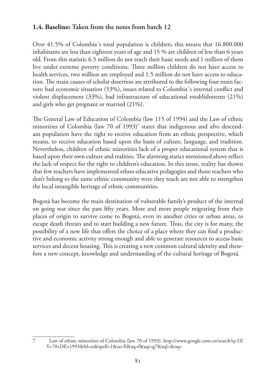#### **1.4. Baseline: Taken from the notes from batch 12**

Over 41.5% of Colombia´s total population is children; this means that 16.800.000 inhabitants are less than eighteen years of age and 15 % are children of less than 6 years old. From this statistic 6.5 million do not reach their basic needs and 1 million of them live under extreme poverty conditions. Three million children do not have access to health services, two million are employed and 1.5 million do not have access to education. The main causes of scholar desertion are attributed to the following four main factors: bad economic situation (53%), issues related to Colombia´s internal conflict and violent displacement (33%), bad infrastructure of educational establishments (21%) and girls who get pregnant or married (21%).

The General Law of Education of Colombia (law 115 of 1994) and the Law of ethnic minorities of Colombia (law 70 of 1993)<sup>7</sup> states that indigenous and afro descendant population have the right to receive education from an ethnic perspective, which means, to receive education based upon the basis of culture, language, and tradition. Nevertheless, children of ethnic minorities lack of a proper educational system that is based upon their own culture and realities. The alarming statics mentioned above reflect the lack of respect for the right to children's education. In this sense, reality has shown that few teachers have implemented ethno educative pedagogies and those teachers who don't belong to the same ethnic community were they teach are not able to strengthen the local intangible heritage of ethnic communities.

Bogotá has become the main destination of vulnerable family's product of the internal on going war since the past fifty years. More and more people migrating from their places of origin to survive come to Bogotá, even in another cities or urban areas, to escape death threats and to start building a new future. Thus, the city is for many, the possibility of a new life that offers the choice of a place where they can find a productive and economic activity strong enough and able to generate resources to access basic services and decent housing. This is creating a new common cultural identity and therefore a new concept, knowledge and understanding of the cultural heritage of Bogotá.

<sup>7</sup> Law of ethnic minorities of Colombia (law 70 of 1993). http://www.google.com.co/search?q=LE Y+70+DE+1993&hl=es&spell=1&sa=X&aq=f&aqi=g7&aql=&oq=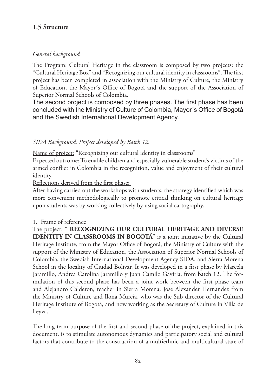#### **1.5 Structure**

#### *General background*

The Program: Cultural Heritage in the classroom is composed by two projects: the "Cultural Heritage Box" and "Recognizing our cultural identity in classrooms". The first project has been completed in association with the Ministry of Culture, the Ministry of Education, the Mayor´s Office of Bogotá and the support of the Association of Superior Normal Schools of Colombia.

The second project is composed by three phases. The first phase has been concluded with the Ministry of Culture of Colombia, Mayor's Office of Bogotá and the Swedish International Development Agency.

#### *SIDA Background. Project developed by Batch 12.*

Name of project: "Recognizing our cultural identity in classrooms"

Expected outcome: To enable children and especially vulnerable student's victims of the armed conflict in Colombia in the recognition, value and enjoyment of their cultural identity.

Reflections derived from the first phase:

After having carried out the workshops with students, the strategy identified which was more convenient methodologically to promote critical thinking on cultural heritage upon students was by working collectively by using social cartography.

#### 1. Frame of reference

The project: " **RECOGNIZING OUR CULTURAL HERITAGE AND DIVERSE IDENTITY IN CLASSROOMS IN BOGOTA**" is a joint initiative by the Cultural Heritage Institute, from the Mayor Office of Bogotá, the Ministry of Culture with the support of the Ministry of Education, the Association of Superior Normal Schools of Colombia, the Swedish International Development Agency SIDA, and Sierra Morena School in the locality of Ciudad Bolivar. It was developed in a first phase by Marcela Jaramillo, Andrea Carolina Jaramillo y Juan Camilo Gaviria, from batch 12. The formulation of this second phase has been a joint work between the first phase team and Alejandro Calderon, teacher in Sierra Morena, José Alexander Hernandez from the Ministry of Culture and Ilona Murcia, who was the Sub director of the Cultural Heritage Institute of Bogotá, and now working as the Secretary of Culture in Villa de Leyva.

The long term purpose of the first and second phase of the project, explained in this document, is to stimulate autonomous dynamics and participatory social and cultural factors that contribute to the construction of a multiethnic and multicultural state of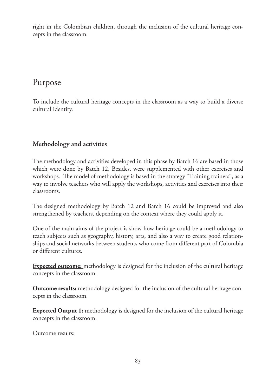right in the Colombian children, through the inclusion of the cultural heritage concepts in the classroom.

# Purpose

To include the cultural heritage concepts in the classroom as a way to build a diverse cultural identity.

#### **Methodology and activities**

The methodology and activities developed in this phase by Batch 16 are based in those which were done by Batch 12. Besides, were supplemented with other exercises and workshops. The model of methodology is based in the strategy ¨Training trainers¨, as a way to involve teachers who will apply the workshops, activities and exercises into their classrooms.

The designed methodology by Batch 12 and Batch 16 could be improved and also strengthened by teachers, depending on the context where they could apply it.

One of the main aims of the project is show how heritage could be a methodology to teach subjects such as geography, history, arts, and also a way to create good relationships and social networks between students who come from different part of Colombia or different cultures.

**Expected outcome:** methodology is designed for the inclusion of the cultural heritage concepts in the classroom.

**Outcome results:** methodology designed for the inclusion of the cultural heritage concepts in the classroom.

**Expected Output 1:** methodology is designed for the inclusion of the cultural heritage concepts in the classroom.

Outcome results: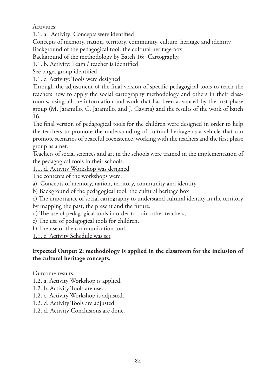Activities:

1.1. a. Activity: Concepts were identified

Concepts of memory, nation, territory, community, culture, heritage and identity

Background of the pedagogical tool: the cultural heritage box

Background of the methodology by Batch 16: Cartography.

1.1. b. Activity: Team / teacher is identified

See target group identified

1.1. c. Activity: Tools were designed

Through the adjustment of the final version of specific pedagogical tools to teach the teachers how to apply the social cartography methodology and others in their classrooms, using all the information and work that has been advanced by the first phase group (M. Jaramillo, C. Jaramillo, and J. Gaviria) and the results of the work of batch 16.

The final version of pedagogical tools for the children were designed in order to help the teachers to promote the understanding of cultural heritage as a vehicle that can promote scenarios of peaceful coexistence, working with the teachers and the first phase group as a net.

Teachers of social sciences and art in the schools were trained in the implementation of the pedagogical tools in their schools.

1.1. d. Activity Workshop was designed

The contents of the workshops were:

a) Concepts of memory, nation, territory, community and identity

b) Background of the pedagogical tool: the cultural heritage box

c) The importance of social cartography to understand cultural identity in the territory

by mapping the past, the present and the future.

d) The use of pedagogical tools in order to train other teachers,

e) The use of pedagogical tools for children.

f) The use of the communication tool.

1.1. e. Activity Schedule was set

#### **Expected Output 2: methodology is applied in the classroom for the inclusion of the cultural heritage concepts.**

Outcome results:

- 1.2. a. Activity Workshop is applied.
- 1.2. b. Activity Tools are used.
- 1.2. c. Activity Workshop is adjusted.
- 1.2. d. Activity Tools are adjusted.
- 1.2. d. Activity Conclusions are done.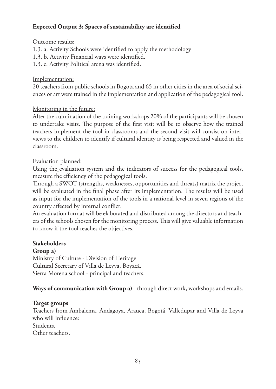#### **Expected Output 3: Spaces of sustainability are identified**

#### Outcome results:

- 1.3. a. Activity Schools were identified to apply the methodology
- 1.3. b. Activity Financial ways were identified.
- 1.3. c. Activity Political arena was identified.

#### Implementation:

20 teachers from public schools in Bogota and 65 in other cities in the area of social sciences or art were trained in the implementation and application of the pedagogical tool.

#### Monitoring in the future:

After the culmination of the training workshops 20% of the participants will be chosen to undertake visits. The purpose of the first visit will be to observe how the trained teachers implement the tool in classrooms and the second visit will consist on interviews to the children to identify if cultural identity is being respected and valued in the classroom.

#### Evaluation planned:

Using the evaluation system and the indicators of success for the pedagogical tools, measure the efficiency of the pedagogical tools.

Through a SWOT (strengths, weaknesses, opportunities and threats) matrix the project will be evaluated in the final phase after its implementation. The results will be used as input for the implementation of the tools in a national level in seven regions of the country affected by internal conflict.

An evaluation format will be elaborated and distributed among the directors and teachers of the schools chosen for the monitoring process. This will give valuable information to know if the tool reaches the objectives.

#### **Stakeholders**

#### **Group a)**

Ministry of Culture - Division of Heritage Cultural Secretary of Villa de Leyva, Boyacá. Sierra Morena school - principal and teachers.

**Ways of communication with Group a)** - through direct work, workshops and emails.

#### **Target groups**

Teachers from Ambalema, Andagoya, Arauca, Bogotá, Valledupar and Villa de Leyva who will influence:

Students.

Other teachers.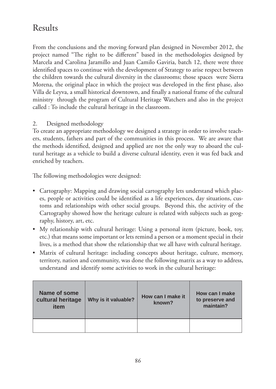# Results

From the conclusions and the moving forward plan designed in November 2012, the project named "The right to be different" based in the methodologies designed by Marcela and Carolina Jaramillo and Juan Camilo Gaviria, batch 12, there were three identified spaces to continue with the development of Strategy to arise respect between the children towards the cultural diversity in the classrooms; those spaces were Sierra Morena, the original place in which the project was developed in the first phase, also Villa de Leyva, a small historical downtown, and finally a national frame of the cultural ministry through the program of Cultural Heritage Watchers and also in the project called : To include the cultural heritage in the classroom.

#### 2. Designed methodology

To create an appropriate methodology we designed a strategy in order to involve teachers, students, fathers and part of the communities in this process. We are aware that the methods identified, designed and applied are not the only way to aboard the cultural heritage as a vehicle to build a diverse cultural identity, even it was fed back and enriched by teachers.

The following methodologies were designed:

- Cartography: Mapping and drawing social cartography lets understand which places, people or activities could be identified as a life experiences, day situations, customs and relationships with other social groups. Beyond this, the activity of the Cartography showed how the heritage culture is related with subjects such as geography, history, art, etc.
- My relationship with cultural heritage: Using a personal item (picture, book, toy, etc.) that means some important or lets remind a person or a moment special in their lives, is a method that show the relationship that we all have with cultural heritage.
- Matrix of cultural heritage: including concepts about heritage, culture, memory, territory, nation and community, was done the following matrix as a way to address, understand and identify some activities to work in the cultural heritage:

| Name of some<br>cultural heritage<br>item | Why is it valuable? | How can I make it<br>known? | How can I make<br>to preserve and<br>maintain? |
|-------------------------------------------|---------------------|-----------------------------|------------------------------------------------|
|                                           |                     |                             |                                                |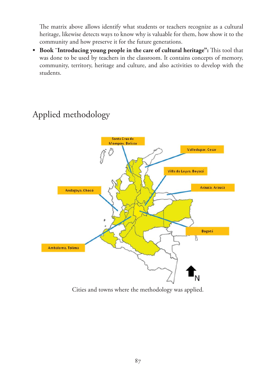The matrix above allows identify what students or teachers recognize as a cultural heritage, likewise detects ways to know why is valuable for them, how show it to the community and how preserve it for the future generations.

**t Book ¨Introducing young people in the care of cultural heritage":** This tool that was done to be used by teachers in the classroom. It contains concepts of memory, community, territory, heritage and culture, and also activities to develop with the students.

# Santa Cruz de Mompox, Bolívar Valledupar, Cesar Villa de Leyva, Boyacá Arauca, Arauca Andagoya, Chocó Bogotá Ж Ambalema, Tolima

# Applied methodology

Cities and towns where the methodology was applied.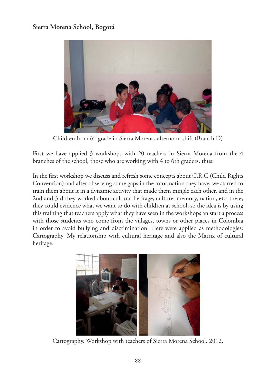#### **Sierra Morena School, Bogotá**



Children from 6<sup>th</sup> grade in Sierra Morena, afternoon shift (Branch D)

First we have applied 3 workshops with 20 teachers in Sierra Morena from the 4 branches of the school, those who are working with 4 to 6th graders, thus:

In the first workshop we discuss and refresh some concepts about C.R.C (Child Rights Convention) and after observing some gaps in the information they have, we started to train them about it in a dynamic activity that made them mingle each other, and in the 2nd and 3rd they worked about cultural heritage, culture, memory, nation, etc. there, they could evidence what we want to do with children at school, so the idea is by using this training that teachers apply what they have seen in the workshops an start a process with those students who come from the villages, towns or other places in Colombia in order to avoid bullying and discrimination. Here were applied as methodologies: Cartography, My relationship with cultural heritage and also the Matrix of cultural heritage.



Cartography. Workshop with teachers of Sierra Morena School. 2012.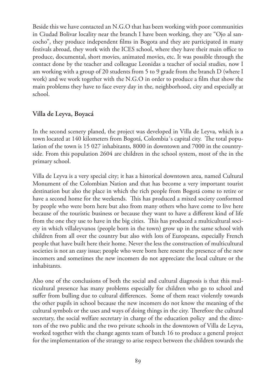Beside this we have contacted an N.G.O that has been working with poor communities in Ciudad Bolivar locality near the branch I have been working, they are "Ojo al sancocho", they produce independent films in Bogota and they are participated in many festivals abroad, they work with the ICES school, where they have their main office to produce, documental, short movies, animated movies, etc. It was possible through the contact done by the teacher and colleague Leonidas a teacher of social studies, now I am working with a group of 20 students from 5 to 9 grade from the branch D (where I work) and we work together with the N.G.O in order to produce a film that show the main problems they have to face every day in the, neighborhood, city and especially at school.

#### **Villa de Leyva, Boyacá**

In the second scenery planed, the project was developed in Villa de Leyva, which is a town located at 140 kilometers from Bogotá, Colombia´s capital city. The total population of the town is 15 027 inhabitants, 8000 in downtown and 7000 in the countryside. From this population 2604 are children in the school system, most of the in the primary school.

Villa de Leyva is a very special city; it has a historical downtown area, named Cultural Monument of the Colombian Nation and that has become a very important tourist destination but also the place in which the rich people from Bogotá come to retire or have a second home for the weekends. This has produced a mixed society conformed by people who were born here but also from many others who have come to live here because of the touristic business or because they want to have a different kind of life from the one they use to have in the big cities. This has produced a multicultural society in which villaleyvanos (people born in the town) grow up in the same school with children from all over the country but also with lots of Europeans, especially French people that have built here their home. Never the less the construction of multicultural societies is not an easy issue; people who were born here resent the presence of the new incomers and sometimes the new incomers do not appreciate the local culture or the inhabitants.

Also one of the conclusions of both the social and cultural diagnosis is that this multicultural presence has many problems especially for children who go to school and suffer from bulling due to cultural differences. Some of them react violently towards the other pupils in school because the new incomers do not know the meaning of the cultural symbols or the uses and ways of doing things in the city. Therefore the cultural secretary, the social welfare secretary in charge of the education policy and the directors of the two public and the two private schools in the downtown of Villa de Leyva, worked together with the change agents team of batch 16 to produce a general project for the implementation of the strategy to arise respect between the children towards the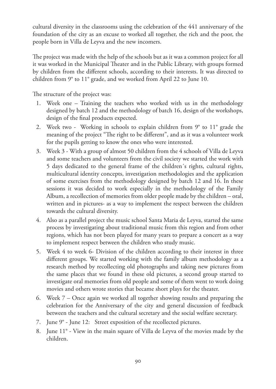cultural diversity in the classrooms using the celebration of the 441 anniversary of the foundation of the city as an excuse to worked all together, the rich and the poor, the people born in Villa de Leyva and the new incomers.

The project was made with the help of the schools but as it was a common project for all it was worked in the Municipal Theater and in the Public Library, with groups formed by children from the different schools, according to their interests. It was directed to children from 9° to 11° grade, and we worked from April 22 to June 10.

The structure of the project was:

- 1. Week one Training the teachers who worked with us in the methodology designed by batch 12 and the methodology of batch 16, design of the workshops, design of the final products expected.
- 2. Week two Working in schools to explain children from 9° to 11° grade the meaning of the project "The right to be different", and as it was a volunteer work for the pupils getting to know the ones who were interested.
- 3. Week 3 With a group of almost 50 children from the 4 schools of Villa de Leyva and some teachers and volunteers from the civil society we started the work with 5 days dedicated to the general frame of the children´s rights, cultural rights, multicultural identity concepts, investigation methodologies and the application of some exercises from the methodology designed by batch 12 and 16. In these sessions it was decided to work especially in the methodology of the Family Album, a recollection of memories from older people made by the children – oral, written and in pictures- as a way to implement the respect between the children towards the cultural diversity.
- 4. Also as a parallel project the music school Santa Maria de Leyva, started the same process by investigating about traditional music from this region and from other regions, which has not been played for many years to prepare a concert as a way to implement respect between the children who study music.
- 5. Week 4 to week 6- Division of the children according to their interest in three different groups. We started working with the family album methodology as a research method by recollecting old photographs and taking new pictures from the same places that we found in these old pictures, a second group started to investigate oral memories from old people and some of them went to work doing movies and others wrote stories that became short plays for the theater.
- 6. Week 7 Once again we worked all together showing results and preparing the celebration for the Anniversary of the city and general discussion of feedback between the teachers and the cultural secretary and the social welfare secretary.
- 7. June 9° June 12: Street exposition of the recollected pictures.
- 8. June 11° View in the main square of Villa de Leyva of the movies made by the children.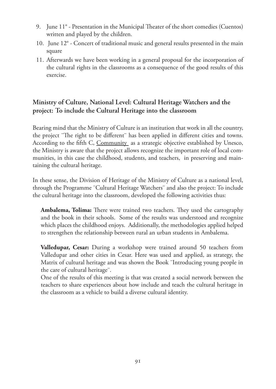- 9. June 11° Presentation in the Municipal Theater of the short comedies (Cuentos) written and played by the children.
- 10. June 12° Concert of traditional music and general results presented in the main square
- 11. Afterwards we have been working in a general proposal for the incorporation of the cultural rights in the classrooms as a consequence of the good results of this exercise.

#### **Ministry of Culture, National Level: Cultural Heritage Watchers and the project: To include the Cultural Heritage into the classroom**

Bearing mind that the Ministry of Culture is an institution that work in all the country, the project ¨The right to be different¨ has been applied in different cities and towns. According to the fifth C, Community as a strategic objective established by Unesco, the Ministry is aware that the project allows recognize the important role of local communities, in this case the childhood, students, and teachers, in preserving and maintaining the cultural heritage.

In these sense, the Division of Heritage of the Ministry of Culture as a national level, through the Programme ¨Cultural Heritage Watchers¨ and also the project: To include the cultural heritage into the classroom, developed the following activities thus:

**Ambalema, Tolima:** There were trained two teachers. They used the cartography and the book in their schools. Some of the results was understood and recognize which places the childhood enjoys. Additionally, the methodologies applied helped to strengthen the relationship between rural an urban students in Ambalema.

**Valledupar, Cesar:** During a workshop were trained around 50 teachers from Valledupar and other cities in Cesar. Here was used and applied, as strategy, the Matrix of cultural heritage and was shown the Book ¨Introducing young people in the care of cultural heritage¨.

One of the results of this meeting is that was created a social network between the teachers to share experiences about how include and teach the cultural heritage in the classroom as a vehicle to build a diverse cultural identity.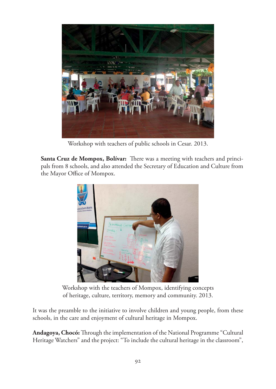

Workshop with teachers of public schools in Cesar. 2013.

**Santa Cruz de Mompox, Bolívar:** There was a meeting with teachers and principals from 8 schools, and also attended the Secretary of Education and Culture from the Mayor Office of Mompox.



Workshop with the teachers of Mompox, identifying concepts of heritage, culture, territory, memory and community. 2013.

It was the preamble to the initiative to involve children and young people, from these schools, in the care and enjoyment of cultural heritage in Mompox.

**Andagoya, Chocó:** Through the implementation of the National Programme "Cultural Heritage Watchers" and the project: "To include the cultural heritage in the classroom",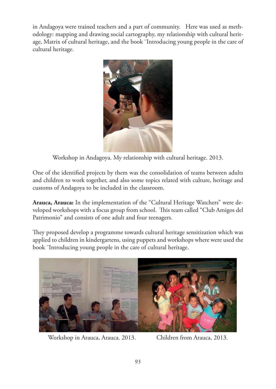in Andagoya were trained teachers and a part of community. Here was used as methodology: mapping and drawing social cartography, my relationship with cultural heritage, Matrix of cultural heritage, and the book ¨Introducing young people in the care of cultural heritage.



Workshop in Andagoya. My relationship with cultural heritage. 2013.

One of the identified projects by them was the consolidation of teams between adults and children to work together, and also some topics related with culture, heritage and customs of Andagoya to be included in the classroom.

**Arauca, Arauca:** In the implementation of the "Cultural Heritage Watchers" were developed workshops with a focus group from school. This team called "Club Amigos del Patrimonio" and consists of one adult and four teenagers.

They proposed develop a programme towards cultural heritage sensitization which was applied to children in kindergartens, using puppets and workshops where were used the book ¨Introducing young people in the care of cultural heritage.



Workshop in Arauca, Arauca. 2013. Children from Arauca, 2013.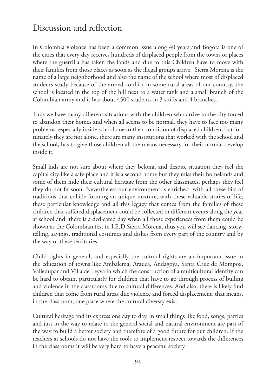### Discussion and reflection

In Colombia violence has been a common issue along 40 years and Bogota is one of the cities that every day receives hundreds of displaced people from the towns or places where the guerrilla has taken the lands and due to this Children have to move with their families from those places as soon as the illegal groups arrive. Sierra Morena is the name of a large neighborhood and also the name of the school where most of displaced students study because of the armed conflict in some rural areas of our country, the school is located in the top of the hill next to a water tank and a small branch of the Colombian army and it has about 4500 students in 3 shifts and 4 branches.

Thus we have many different situations with the children who arrive to the city forced to abandon their homes and when all seems to be normal, they have to face too many problems, especially inside school due to their condition of displaced children, but fortunately they are not alone, there are many institutions that worked with the school and the school, has to give those children all the means necessary for their normal develop inside it.

Small kids are not sure about where they belong, and despite situation they feel the capital city like a safe place and it is a second home but they miss their homelands and some of them hide their cultural heritage from the other classmates, perhaps they feel they do not fit soon. Nevertheless our environment is enriched with all these bits of traditions that collide forming an unique mixture, with these valuable stories of life, these particular knowledge and all this legacy that comes from the families of these children that suffered displacement could be collected in different events along the year at school and there is a dedicated day when all those experiences from them could be shown as the Colombian fest in I.E.D Sierra Morena, thus you will see dancing, storytelling, sayings, traditional costumes and dishes from every part of the country and by the way of these territories.

Child rights in general, and especially the cultural rights are an important issue in the education of towns like Ambalema, Arauca, Andagoya, Santa Cruz de Mompox, Valledupar and Villa de Leyva in which the construction of a multicultural identity can be hard to obtain, particularly for children that have to go through process of bulling and violence in the classrooms due to cultural differences. And also, there is likely find children that come from rural areas due violence and forced displacement, that means, in the classroom, one place where the cultural diversty exist.

Cultural heritage and its expressions day to day, in small things like food, songs, parties and just in the way to relate to the general social and natural environment are part of the way to build a better society and therefore of a good future for our children. If the teachers at schools do not have the tools to implement respect towards the differences in the classrooms it will be very hard to have a peaceful society.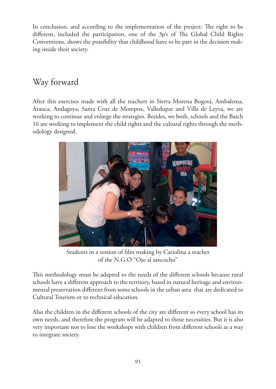In conclusion, and according to the implementation of the project: The right to be different, included the participation, one of the 3p's of The Global Child Rights Conventions, shows the possibility that childhood have to be part in the decision making inside their society.

# Way forward

After this exercises made with all the teachers in Sierra Morena Bogotá, Ambalema, Arauca, Andagoya, Santa Cruz de Mompox, Valledupar and Villa de Leyva, we are working to continue and enlarge the strategies. Besides, we both, schools and the Batch 16 are working to implement the child rights and the cultural rights through the methodology designed.



Students in a session of film making by Cariolina a teacher of the N.G.O "Ojo al sancocho"

This methodology must be adapted to the needs of the different schools because rural schools have a different approach to the territory, based in natural heritage and environmental preservation different from some schools in the urban area that are dedicated to Cultural Tourism or to technical education.

Also the children in the different schools of the city are different so every school has its own needs, and therefore the program will be adapted to those necessities. But it is also very important not to lose the workshops with children from different schools as a way to integrate society.